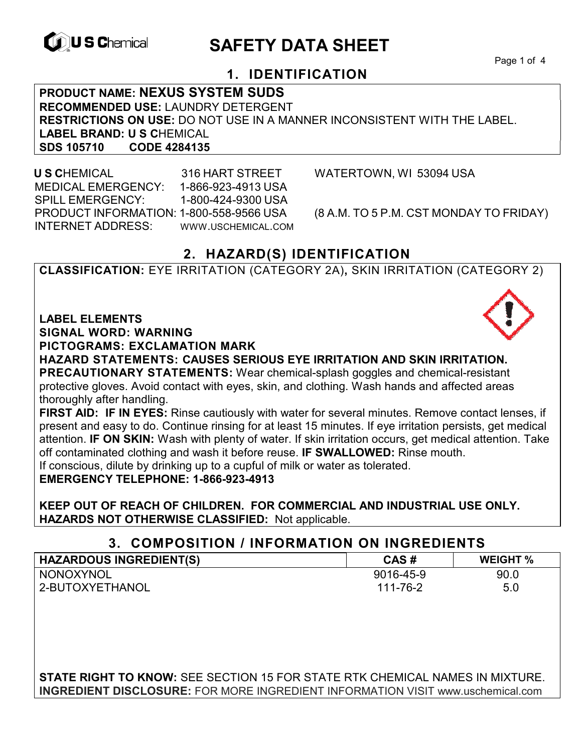

# **EXAGREM** SAFETY DATA SHEET

Page 1 of 4

## **1. IDENTIFICATION**

**PRODUCT NAME: NEXUS SYSTEM SUDS RECOMMENDED USE:** LAUNDRY DETERGENT **RESTRICTIONS ON USE:** DO NOT USE IN A MANNER INCONSISTENT WITH THE LABEL. LABEL BRAND: U S CHEMICAL<br>SDS 105710 CODE 4284135 **SDS 105710** 

 **U S C**HEMICAL 316 HART STREET WATERTOWN, WI 53094 USA MEDICAL EMERGENCY: 1-866-923-4913 USA SPILL EMERGENCY: 1-800-424-9300 USA PRODUCT INFORMATION: 1-800-558-9566 USA (8 A.M. TO 5 P.M. CST MONDAY TO FRIDAY) INTERNET ADDRESS: WWW.USCHEMICAL.COM

## **2. HAZARD(S) IDENTIFICATION**

**CLASSIFICATION:** EYE IRRITATION (CATEGORY 2A)**,** SKIN IRRITATION (CATEGORY 2)

**LABEL ELEMENTS** 

**SIGNAL WORD: WARNING**

**PICTOGRAMS: EXCLAMATION MARK**

**HAZARD STATEMENTS: CAUSES SERIOUS EYE IRRITATION AND SKIN IRRITATION. PRECAUTIONARY STATEMENTS:** Wear chemical-splash goggles and chemical-resistant protective gloves. Avoid contact with eyes, skin, and clothing. Wash hands and affected areas thoroughly after handling.

**FIRST AID: IF IN EYES:** Rinse cautiously with water for several minutes. Remove contact lenses, if present and easy to do. Continue rinsing for at least 15 minutes. If eye irritation persists, get medical attention. **IF ON SKIN:** Wash with plenty of water. If skin irritation occurs, get medical attention. Take off contaminated clothing and wash it before reuse. **IF SWALLOWED:** Rinse mouth. If conscious, dilute by drinking up to a cupful of milk or water as tolerated.

**EMERGENCY TELEPHONE: 1-866-923-4913** 

**KEEP OUT OF REACH OF CHILDREN. FOR COMMERCIAL AND INDUSTRIAL USE ONLY. HAZARDS NOT OTHERWISE CLASSIFIED:** Not applicable.

## **3. COMPOSITION / INFORMATION ON INGREDIENTS**

| <b>HAZARDOUS INGREDIENT(S)</b> | CAS#      | <b>WEIGHT</b> % |
|--------------------------------|-----------|-----------------|
| NONOXYNOL                      | 9016-45-9 | 90.0            |
| 2-BUTOXYETHANOL                | 111-76-2  | 5.0             |
|                                |           |                 |

**STATE RIGHT TO KNOW:** SEE SECTION 15 FOR STATE RTK CHEMICAL NAMES IN MIXTURE. **INGREDIENT DISCLOSURE:** FOR MORE INGREDIENT INFORMATION VISIT www.uschemical.com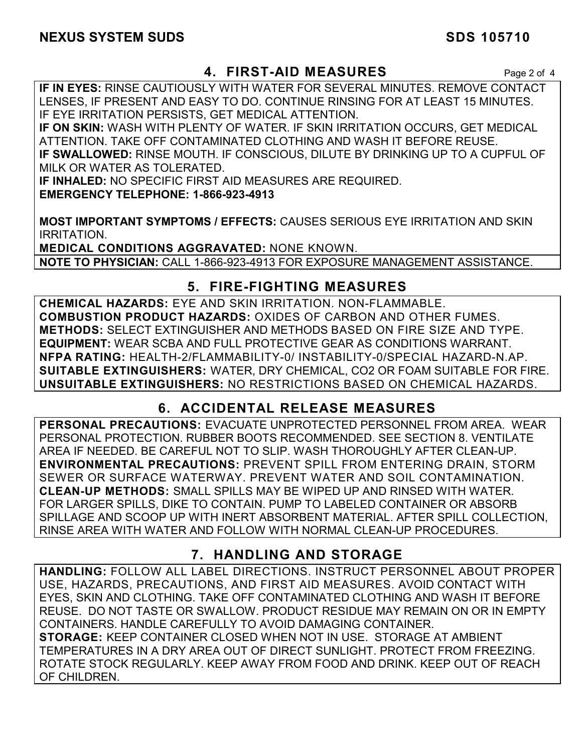## **4. FIRST-AID MEASURES** Page 2 of 4

**IF IN EYES:** RINSE CAUTIOUSLY WITH WATER FOR SEVERAL MINUTES. REMOVE CONTACT LENSES, IF PRESENT AND EASY TO DO. CONTINUE RINSING FOR AT LEAST 15 MINUTES. IF EYE IRRITATION PERSISTS, GET MEDICAL ATTENTION.

**IF ON SKIN:** WASH WITH PLENTY OF WATER. IF SKIN IRRITATION OCCURS, GET MEDICAL ATTENTION. TAKE OFF CONTAMINATED CLOTHING AND WASH IT BEFORE REUSE. **IF SWALLOWED:** RINSE MOUTH. IF CONSCIOUS, DILUTE BY DRINKING UP TO A CUPFUL OF MILK OR WATER AS TOLERATED.

**IF INHALED:** NO SPECIFIC FIRST AID MEASURES ARE REQUIRED. **EMERGENCY TELEPHONE: 1-866-923-4913** 

**MOST IMPORTANT SYMPTOMS / EFFECTS:** CAUSES SERIOUS EYE IRRITATION AND SKIN IRRITATION.

**MEDICAL CONDITIONS AGGRAVATED:** NONE KNOWN. **NOTE TO PHYSICIAN:** CALL 1-866-923-4913 FOR EXPOSURE MANAGEMENT ASSISTANCE.

## **5. FIRE-FIGHTING MEASURES**

**CHEMICAL HAZARDS:** EYE AND SKIN IRRITATION. NON-FLAMMABLE. **COMBUSTION PRODUCT HAZARDS:** OXIDES OF CARBON AND OTHER FUMES. **METHODS:** SELECT EXTINGUISHER AND METHODS BASED ON FIRE SIZE AND TYPE. **EQUIPMENT:** WEAR SCBA AND FULL PROTECTIVE GEAR AS CONDITIONS WARRANT. **NFPA RATING:** HEALTH-2/FLAMMABILITY-0/ INSTABILITY-0/SPECIAL HAZARD-N.AP. **SUITABLE EXTINGUISHERS:** WATER, DRY CHEMICAL, CO2 OR FOAM SUITABLE FOR FIRE. **UNSUITABLE EXTINGUISHERS:** NO RESTRICTIONS BASED ON CHEMICAL HAZARDS.

## **6. ACCIDENTAL RELEASE MEASURES**

**PERSONAL PRECAUTIONS:** EVACUATE UNPROTECTED PERSONNEL FROM AREA. WEAR PERSONAL PROTECTION. RUBBER BOOTS RECOMMENDED. SEE SECTION 8. VENTILATE AREA IF NEEDED. BE CAREFUL NOT TO SLIP. WASH THOROUGHLY AFTER CLEAN-UP. **ENVIRONMENTAL PRECAUTIONS:** PREVENT SPILL FROM ENTERING DRAIN, STORM SEWER OR SURFACE WATERWAY. PREVENT WATER AND SOIL CONTAMINATION. **CLEAN-UP METHODS:** SMALL SPILLS MAY BE WIPED UP AND RINSED WITH WATER. FOR LARGER SPILLS, DIKE TO CONTAIN. PUMP TO LABELED CONTAINER OR ABSORB SPILLAGE AND SCOOP UP WITH INERT ABSORBENT MATERIAL. AFTER SPILL COLLECTION, RINSE AREA WITH WATER AND FOLLOW WITH NORMAL CLEAN-UP PROCEDURES.

## **7. HANDLING AND STORAGE**

**HANDLING:** FOLLOW ALL LABEL DIRECTIONS. INSTRUCT PERSONNEL ABOUT PROPER USE, HAZARDS, PRECAUTIONS, AND FIRST AID MEASURES. AVOID CONTACT WITH EYES, SKIN AND CLOTHING. TAKE OFF CONTAMINATED CLOTHING AND WASH IT BEFORE REUSE. DO NOT TASTE OR SWALLOW. PRODUCT RESIDUE MAY REMAIN ON OR IN EMPTY CONTAINERS. HANDLE CAREFULLY TO AVOID DAMAGING CONTAINER. **STORAGE:** KEEP CONTAINER CLOSED WHEN NOT IN USE. STORAGE AT AMBIENT TEMPERATURES IN A DRY AREA OUT OF DIRECT SUNLIGHT. PROTECT FROM FREEZING. ROTATE STOCK REGULARLY. KEEP AWAY FROM FOOD AND DRINK. KEEP OUT OF REACH OF CHILDREN.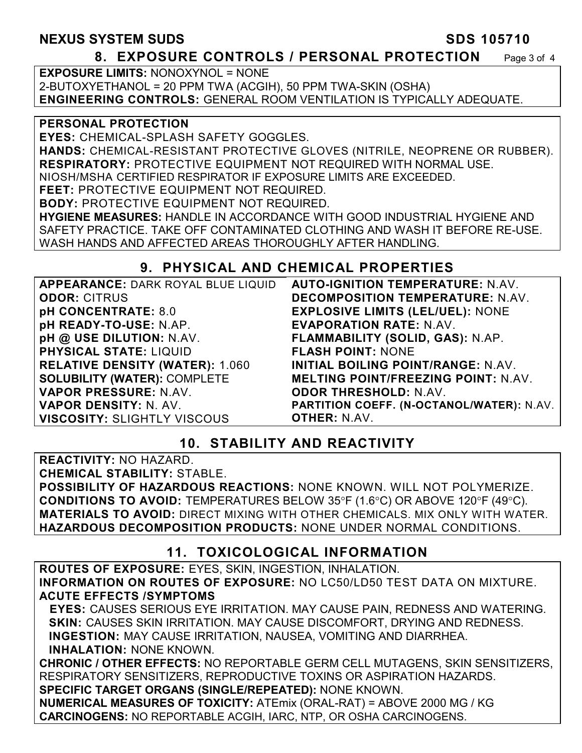## **NEXUS SYSTEM SUDS SDS 105710**

#### **8. EXPOSURE CONTROLS / PERSONAL PROTECTION** Page 3 of 4

**EXPOSURE LIMITS:** NONOXYNOL = NONE 2-BUTOXYETHANOL = 20 PPM TWA (ACGIH), 50 PPM TWA-SKIN (OSHA) **ENGINEERING CONTROLS:** GENERAL ROOM VENTILATION IS TYPICALLY ADEQUATE.

#### **PERSONAL PROTECTION**

**EYES:** CHEMICAL-SPLASH SAFETY GOGGLES.

**HANDS:** CHEMICAL-RESISTANT PROTECTIVE GLOVES (NITRILE, NEOPRENE OR RUBBER). **RESPIRATORY:** PROTECTIVE EQUIPMENT NOT REQUIRED WITH NORMAL USE.

NIOSH/MSHA CERTIFIED RESPIRATOR IF EXPOSURE LIMITS ARE EXCEEDED.

**FEET:** PROTECTIVE EQUIPMENT NOT REQUIRED. **BODY:** PROTECTIVE EQUIPMENT NOT REQUIRED.

**HYGIENE MEASURES:** HANDLE IN ACCORDANCE WITH GOOD INDUSTRIAL HYGIENE AND SAFETY PRACTICE. TAKE OFF CONTAMINATED CLOTHING AND WASH IT BEFORE RE-USE. WASH HANDS AND AFFECTED AREAS THOROUGHLY AFTER HANDLING.

## **9. PHYSICAL AND CHEMICAL PROPERTIES**

| APPEARANCE: DARK ROYAL BLUE LIQUID     | <b>AUTO-IGNITION TEMPERATURE: N.AV.</b>    |
|----------------------------------------|--------------------------------------------|
| <b>ODOR: CITRUS</b>                    | DECOMPOSITION TEMPERATURE: N.AV.           |
| pH CONCENTRATE: 8.0                    | <b>EXPLOSIVE LIMITS (LEL/UEL): NONE</b>    |
| pH READY-TO-USE: N.AP.                 | <b>EVAPORATION RATE: N.AV.</b>             |
| pH @ USE DILUTION: N.AV.               | FLAMMABILITY (SOLID, GAS): N.AP.           |
| <b>PHYSICAL STATE: LIQUID</b>          | <b>FLASH POINT: NONE</b>                   |
| <b>RELATIVE DENSITY (WATER): 1.060</b> | INITIAL BOILING POINT/RANGE: N.AV.         |
| <b>SOLUBILITY (WATER): COMPLETE</b>    | <b>MELTING POINT/FREEZING POINT: N.AV.</b> |
| VAPOR PRESSURE: N.AV.                  | <b>ODOR THRESHOLD: N.AV.</b>               |
| VAPOR DENSITY: N. AV.                  | PARTITION COEFF. (N-OCTANOL/WATER): N.AV.  |
| <b>VISCOSITY: SLIGHTLY VISCOUS</b>     | <b>OTHER: N.AV.</b>                        |

## **10. STABILITY AND REACTIVITY**

**REACTIVITY:** NO HAZARD. **CHEMICAL STABILITY:** STABLE. **POSSIBILITY OF HAZARDOUS REACTIONS:** NONE KNOWN. WILL NOT POLYMERIZE. **CONDITIONS TO AVOID:** TEMPERATURES BELOW 35°F (1.6°C) OR ABOVE 120°F (49°C). **MATERIALS TO AVOID:** DIRECT MIXING WITH OTHER CHEMICALS. MIX ONLY WITH WATER. **HAZARDOUS DECOMPOSITION PRODUCTS:** NONE UNDER NORMAL CONDITIONS.

## **11. TOXICOLOGICAL INFORMATION**

**ROUTES OF EXPOSURE:** EYES, SKIN, INGESTION, INHALATION. **INFORMATION ON ROUTES OF EXPOSURE:** NO LC50/LD50 TEST DATA ON MIXTURE. **ACUTE EFFECTS /SYMPTOMS** 

 **EYES:** CAUSES SERIOUS EYE IRRITATION. MAY CAUSE PAIN, REDNESS AND WATERING. **SKIN:** CAUSES SKIN IRRITATION. MAY CAUSE DISCOMFORT, DRYING AND REDNESS. **INGESTION:** MAY CAUSE IRRITATION, NAUSEA, VOMITING AND DIARRHEA. **INHALATION:** NONE KNOWN.

**CHRONIC / OTHER EFFECTS:** NO REPORTABLE GERM CELL MUTAGENS, SKIN SENSITIZERS, RESPIRATORY SENSITIZERS, REPRODUCTIVE TOXINS OR ASPIRATION HAZARDS. **SPECIFIC TARGET ORGANS (SINGLE/REPEATED):** NONE KNOWN.

**NUMERICAL MEASURES OF TOXICITY:** ATEmix (ORAL-RAT) = ABOVE 2000 MG / KG **CARCINOGENS:** NO REPORTABLE ACGIH, IARC, NTP, OR OSHA CARCINOGENS.